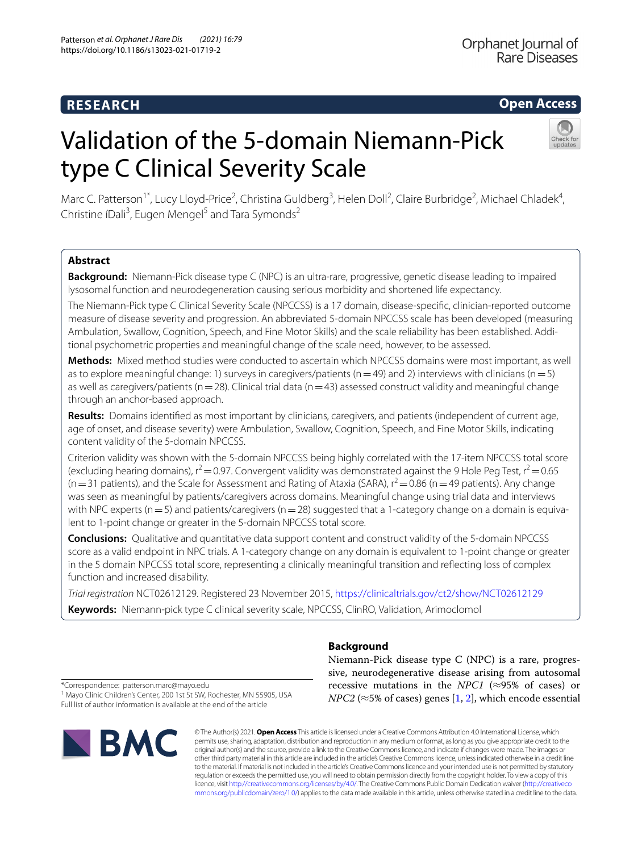# **RESEARCH**

Orphanet Journal of Rare Diseases

# **Open Access**

# Validation of the 5-domain Niemann-Pick type C Clinical Severity Scale



Marc C. Patterson<sup>1\*</sup>, Lucy Lloyd-Price<sup>2</sup>, Christina Guldberg<sup>3</sup>, Helen Doll<sup>2</sup>, Claire Burbridge<sup>2</sup>, Michael Chladek<sup>4</sup>, Christine íDali<sup>3</sup>, Eugen Mengel<sup>5</sup> and Tara Symonds<sup>2</sup>

# **Abstract**

**Background:** Niemann-Pick disease type C (NPC) is an ultra-rare, progressive, genetic disease leading to impaired lysosomal function and neurodegeneration causing serious morbidity and shortened life expectancy.

The Niemann-Pick type C Clinical Severity Scale (NPCCSS) is a 17 domain, disease-specifc, clinician-reported outcome measure of disease severity and progression. An abbreviated 5-domain NPCCSS scale has been developed (measuring Ambulation, Swallow, Cognition, Speech, and Fine Motor Skills) and the scale reliability has been established. Addi‑ tional psychometric properties and meaningful change of the scale need, however, to be assessed.

**Methods:** Mixed method studies were conducted to ascertain which NPCCSS domains were most important, as well as to explore meaningful change: 1) surveys in caregivers/patients ( $n=49$ ) and 2) interviews with clinicians ( $n=5$ ) as well as caregivers/patients ( $n=28$ ). Clinical trial data ( $n=43$ ) assessed construct validity and meaningful change through an anchor-based approach.

**Results:** Domains identifed as most important by clinicians, caregivers, and patients (independent of current age, age of onset, and disease severity) were Ambulation, Swallow, Cognition, Speech, and Fine Motor Skills, indicating content validity of the 5-domain NPCCSS.

Criterion validity was shown with the 5-domain NPCCSS being highly correlated with the 17-item NPCCSS total score (excluding hearing domains),  $r^2 = 0.97$ . Convergent validity was demonstrated against the 9 Hole Peg Test,  $r^2 = 0.65$  $(n=31$  patients), and the Scale for Assessment and Rating of Ataxia (SARA),  $r^2$  = 0.86 (n = 49 patients). Any change was seen as meaningful by patients/caregivers across domains. Meaningful change using trial data and interviews with NPC experts ( $n=5$ ) and patients/caregivers ( $n=28$ ) suggested that a 1-category change on a domain is equivalent to 1-point change or greater in the 5-domain NPCCSS total score.

**Conclusions:** Qualitative and quantitative data support content and construct validity of the 5-domain NPCCSS score as a valid endpoint in NPC trials. A 1-category change on any domain is equivalent to 1-point change or greater in the 5 domain NPCCSS total score, representing a clinically meaningful transition and refecting loss of complex function and increased disability.

*Trial registration* NCT02612129. Registered 23 November 2015, <https://clinicaltrials.gov/ct2/show/NCT02612129> **Keywords:** Niemann-pick type C clinical severity scale, NPCCSS, ClinRO, Validation, Arimoclomol

**Background**

Niemann-Pick disease type C (NPC) is a rare, progressive, neurodegenerative disease arising from autosomal recessive mutations in the *NPC1* ( $\approx$ 95% of cases) or *NPC2* ( $\approx$ 5% of cases) genes [[1](#page-8-0), [2](#page-8-1)], which encode essential

\*Correspondence: patterson.marc@mayo.edu

<sup>1</sup> Mayo Clinic Children's Center, 200 1st St SW, Rochester, MN 55905, USA Full list of author information is available at the end of the article



© The Author(s) 2021. **Open Access** This article is licensed under a Creative Commons Attribution 4.0 International License, which permits use, sharing, adaptation, distribution and reproduction in any medium or format, as long as you give appropriate credit to the original author(s) and the source, provide a link to the Creative Commons licence, and indicate if changes were made. The images or other third party material in this article are included in the article's Creative Commons licence, unless indicated otherwise in a credit line to the material. If material is not included in the article's Creative Commons licence and your intended use is not permitted by statutory regulation or exceeds the permitted use, you will need to obtain permission directly from the copyright holder. To view a copy of this licence, visit [http://creativecommons.org/licenses/by/4.0/.](http://creativecommons.org/licenses/by/4.0/) The Creative Commons Public Domain Dedication waiver ([http://creativeco](http://creativecommons.org/publicdomain/zero/1.0/) [mmons.org/publicdomain/zero/1.0/](http://creativecommons.org/publicdomain/zero/1.0/)) applies to the data made available in this article, unless otherwise stated in a credit line to the data.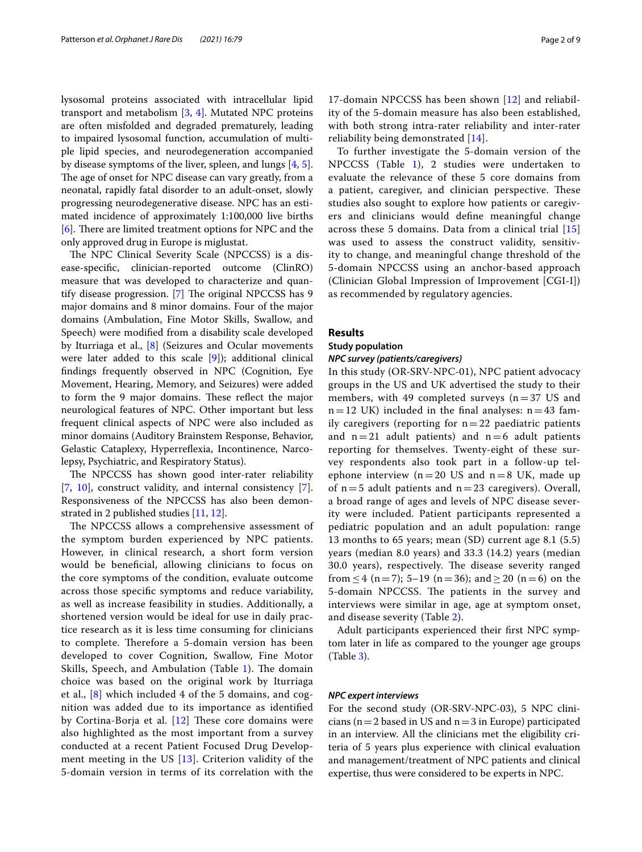lysosomal proteins associated with intracellular lipid transport and metabolism [\[3](#page-8-2), [4\]](#page-8-3). Mutated NPC proteins are often misfolded and degraded prematurely, leading to impaired lysosomal function, accumulation of multiple lipid species, and neurodegeneration accompanied by disease symptoms of the liver, spleen, and lungs [\[4](#page-8-3), [5](#page-8-4)]. The age of onset for NPC disease can vary greatly, from a neonatal, rapidly fatal disorder to an adult-onset, slowly progressing neurodegenerative disease. NPC has an estimated incidence of approximately 1:100,000 live births  $[6]$  $[6]$ . There are limited treatment options for NPC and the only approved drug in Europe is miglustat.

The NPC Clinical Severity Scale (NPCCSS) is a disease-specifc, clinician-reported outcome (ClinRO) measure that was developed to characterize and quantify disease progression.  $[7]$  $[7]$  The original NPCCSS has 9 major domains and 8 minor domains. Four of the major domains (Ambulation, Fine Motor Skills, Swallow, and Speech) were modifed from a disability scale developed by Iturriaga et al., [\[8](#page-8-7)] (Seizures and Ocular movements were later added to this scale [\[9](#page-8-8)]); additional clinical fndings frequently observed in NPC (Cognition, Eye Movement, Hearing, Memory, and Seizures) were added to form the 9 major domains. These reflect the major neurological features of NPC. Other important but less frequent clinical aspects of NPC were also included as minor domains (Auditory Brainstem Response, Behavior, Gelastic Cataplexy, Hyperrefexia, Incontinence, Narcolepsy, Psychiatric, and Respiratory Status).

The NPCCSS has shown good inter-rater reliability [[7,](#page-8-6) [10](#page-8-9)], construct validity, and internal consistency [\[7](#page-8-6)]. Responsiveness of the NPCCSS has also been demonstrated in 2 published studies [\[11](#page-8-10), [12](#page-8-11)].

The NPCCSS allows a comprehensive assessment of the symptom burden experienced by NPC patients. However, in clinical research, a short form version would be benefcial, allowing clinicians to focus on the core symptoms of the condition, evaluate outcome across those specifc symptoms and reduce variability, as well as increase feasibility in studies. Additionally, a shortened version would be ideal for use in daily practice research as it is less time consuming for clinicians to complete. Therefore a 5-domain version has been developed to cover Cognition, Swallow, Fine Motor Skills, Speech, and Ambulation (Table [1](#page-2-0)). The domain choice was based on the original work by Iturriaga et al., [[8\]](#page-8-7) which included 4 of the 5 domains, and cognition was added due to its importance as identifed by Cortina-Borja et al.  $[12]$  $[12]$  These core domains were also highlighted as the most important from a survey conducted at a recent Patient Focused Drug Development meeting in the US  $[13]$ . Criterion validity of the 5-domain version in terms of its correlation with the

17-domain NPCCSS has been shown [\[12](#page-8-11)] and reliability of the 5-domain measure has also been established, with both strong intra-rater reliability and inter-rater reliability being demonstrated [[14](#page-8-13)].

To further investigate the 5-domain version of the NPCCSS (Table [1\)](#page-2-0), 2 studies were undertaken to evaluate the relevance of these 5 core domains from a patient, caregiver, and clinician perspective. These studies also sought to explore how patients or caregivers and clinicians would defne meaningful change across these 5 domains. Data from a clinical trial [\[15](#page-8-14)] was used to assess the construct validity, sensitivity to change, and meaningful change threshold of the 5-domain NPCCSS using an anchor-based approach (Clinician Global Impression of Improvement [CGI-I]) as recommended by regulatory agencies.

## **Results**

#### **Study population**

#### *NPC survey (patients/caregivers)*

In this study (OR-SRV-NPC-01), NPC patient advocacy groups in the US and UK advertised the study to their members, with 49 completed surveys  $(n=37 \text{ US and}$  $n=12$  UK) included in the final analyses:  $n=43$  family caregivers (reporting for  $n=22$  paediatric patients and  $n=21$  adult patients) and  $n=6$  adult patients reporting for themselves. Twenty-eight of these survey respondents also took part in a follow-up telephone interview ( $n=20$  US and  $n=8$  UK, made up of  $n=5$  adult patients and  $n=23$  caregivers). Overall, a broad range of ages and levels of NPC disease severity were included. Patient participants represented a pediatric population and an adult population: range 13 months to 65 years; mean (SD) current age 8.1 (5.5) years (median 8.0 years) and 33.3 (14.2) years (median 30.0 years), respectively. The disease severity ranged from  $\leq$  4 (n = 7); 5–19 (n = 36); and  $\geq$  20 (n = 6) on the 5-domain NPCCSS. The patients in the survey and interviews were similar in age, age at symptom onset, and disease severity (Table [2\)](#page-3-0).

Adult participants experienced their frst NPC symptom later in life as compared to the younger age groups (Table [3\)](#page-3-1).

#### *NPC expert interviews*

For the second study (OR-SRV-NPC-03), 5 NPC clinicians ( $n=2$  based in US and  $n=3$  in Europe) participated in an interview. All the clinicians met the eligibility criteria of 5 years plus experience with clinical evaluation and management/treatment of NPC patients and clinical expertise, thus were considered to be experts in NPC.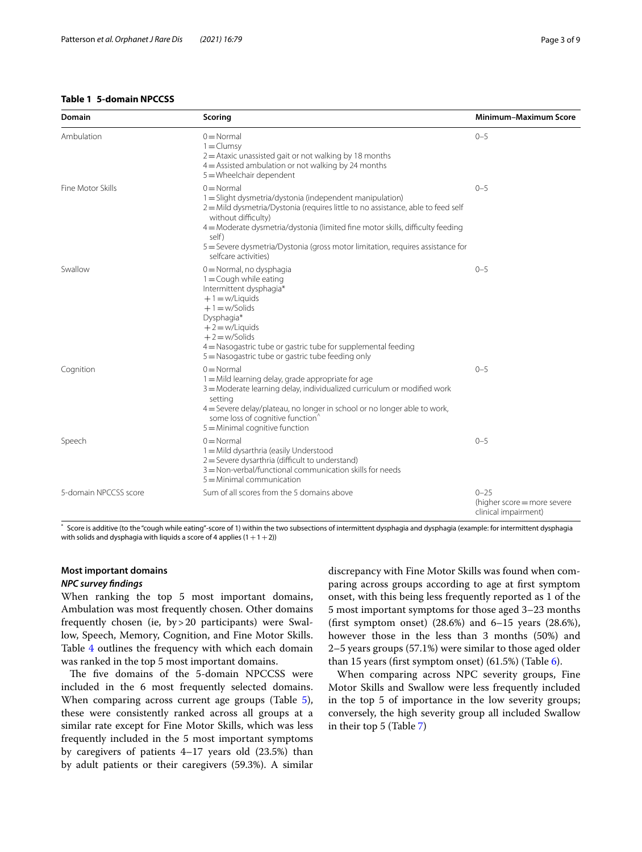## <span id="page-2-0"></span>**Table 1 5-domain NPCCSS**

J.

| <b>Domain</b>         | Scoring                                                                                                                                                                                                                                                                                                                                                                                         | <b>Minimum-Maximum Score</b> |
|-----------------------|-------------------------------------------------------------------------------------------------------------------------------------------------------------------------------------------------------------------------------------------------------------------------------------------------------------------------------------------------------------------------------------------------|------------------------------|
| Ambulation            | $0 = \text{Normal}$<br>$1 = Clumsy$<br>$2$ = Ataxic unassisted gait or not walking by 18 months<br>$4$ = Assisted ambulation or not walking by 24 months<br>5 = Wheelchair dependent                                                                                                                                                                                                            | $0 - 5$                      |
| Fine Motor Skills     | $0 = \text{Normal}$<br>1 = Slight dysmetria/dystonia (independent manipulation)<br>2 = Mild dysmetria/Dystonia (requires little to no assistance, able to feed self<br>without difficulty)<br>4 = Moderate dysmetria/dystonia (limited fine motor skills, difficulty feeding<br>self)<br>5 = Severe dysmetria/Dystonia (gross motor limitation, requires assistance for<br>selfcare activities) | $0 - 5$                      |
| Swallow               | 0 = Normal, no dysphagia<br>$1 =$ Cough while eating<br>Intermittent dysphagia*<br>$+1 = w/Liquids$<br>$+1 = w/Solids$<br>Dysphagia*<br>$+2 = w/Liquids$<br>$+2=$ w/Solids<br>4 = Nasogastric tube or gastric tube for supplemental feeding<br>5 = Nasogastric tube or gastric tube feeding only                                                                                                | $0 - 5$                      |
| Cognition             | $0 = \text{Normal}$<br>1 = Mild learning delay, grade appropriate for age<br>3 = Moderate learning delay, individualized curriculum or modified work<br>setting<br>4 = Severe delay/plateau, no longer in school or no longer able to work,<br>some loss of cognitive function <sup>^</sup><br>$5 =$ Minimal cognitive function                                                                 | $0 - 5$                      |
| Speech                | $0 = \text{Normal}$<br>1 = Mild dysarthria (easily Understood<br>2 = Severe dysarthria (difficult to understand)<br>3 = Non-verbal/functional communication skills for needs<br>$5 =$ Minimal communication                                                                                                                                                                                     | $0 - 5$                      |
| 5-domain NPCCSS score | Sum of all scores from the 5 domains above                                                                                                                                                                                                                                                                                                                                                      | $0 - 25$                     |

\* Score is additive (to the "cough while eating"-score of 1) within the two subsections of intermittent dysphagia and dysphagia (example: for intermittent dysphagia with solids and dysphagia with liquids a score of 4 applies  $(1+1+2)$ )

# **Most important domains**

#### *NPC survey fndings*

When ranking the top 5 most important domains, Ambulation was most frequently chosen. Other domains frequently chosen (ie, by>20 participants) were Swallow, Speech, Memory, Cognition, and Fine Motor Skills. Table [4](#page-4-0) outlines the frequency with which each domain was ranked in the top 5 most important domains.

The five domains of the 5-domain NPCCSS were included in the 6 most frequently selected domains. When comparing across current age groups (Table [5](#page-4-1)), these were consistently ranked across all groups at a similar rate except for Fine Motor Skills, which was less frequently included in the 5 most important symptoms by caregivers of patients 4–17 years old (23.5%) than by adult patients or their caregivers (59.3%). A similar discrepancy with Fine Motor Skills was found when comparing across groups according to age at frst symptom onset, with this being less frequently reported as 1 of the 5 most important symptoms for those aged 3–23 months (frst symptom onset) (28.6%) and 6–15 years (28.6%), however those in the less than 3 months (50%) and 2–5 years groups (57.1%) were similar to those aged older than 15 years (first symptom onset)  $(61.5\%)$  (Table [6\)](#page-4-2).

(higher score=more severe clinical impairment)

When comparing across NPC severity groups, Fine Motor Skills and Swallow were less frequently included in the top 5 of importance in the low severity groups; conversely, the high severity group all included Swallow in their top 5 (Table [7\)](#page-5-0)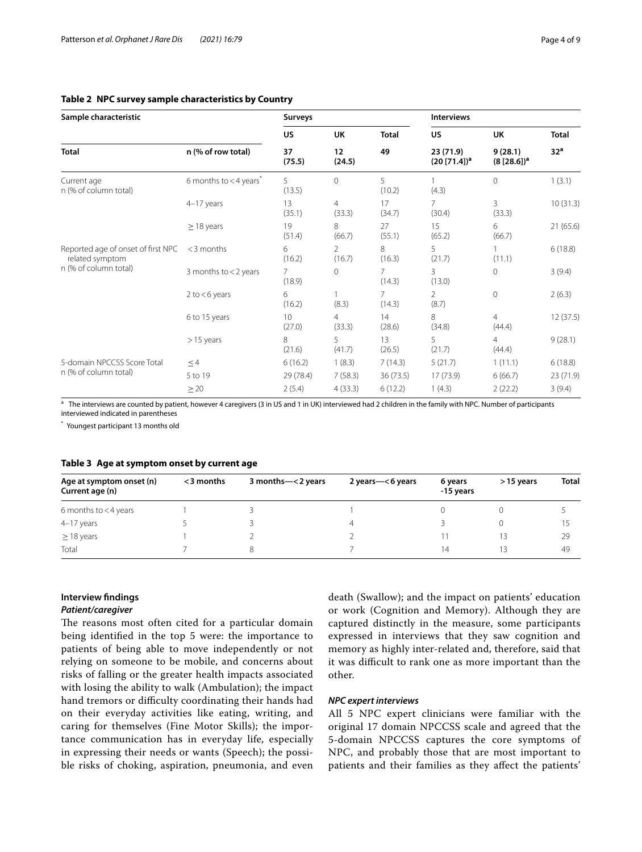# <span id="page-3-0"></span>**Table 2 NPC survey sample characteristics by Country**

| Sample characteristic                                 |                                      | Surveys      |                          |              |                                       | <b>Interviews</b>         |                 |  |
|-------------------------------------------------------|--------------------------------------|--------------|--------------------------|--------------|---------------------------------------|---------------------------|-----------------|--|
|                                                       |                                      | <b>US</b>    | UK                       | <b>Total</b> | US.                                   | UK                        | <b>Total</b>    |  |
| <b>Total</b>                                          | n (% of row total)                   | 37<br>(75.5) | 12<br>(24.5)             | 49           | 23 (71.9)<br>(20 [71.4]) <sup>a</sup> | 9(28.1)<br>$(8 [28.6])^a$ | 32 <sup>a</sup> |  |
| Current age<br>n (% of column total)                  | 6 months to $<$ 4 years <sup>*</sup> | 5<br>(13.5)  | $\mathbf 0$              | 5<br>(10.2)  | (4.3)                                 | $\mathbf 0$               | 1(3.1)          |  |
|                                                       | 4-17 years                           | 13<br>(35.1) | 4<br>(33.3)              | 17<br>(34.7) | 7<br>(30.4)                           | 3<br>(33.3)               | 10(31.3)        |  |
|                                                       | $\geq$ 18 years                      | 19<br>(51.4) | 8<br>(66.7)              | 27<br>(55.1) | 15<br>(65.2)                          | 6<br>(66.7)               | 21(65.6)        |  |
| Reported age of onset of first NPC<br>related symptom | $<$ 3 months                         | 6<br>(16.2)  | $\overline{2}$<br>(16.7) | 8<br>(16.3)  | 5<br>(21.7)                           | (11.1)                    | 6(18.8)         |  |
| n (% of column total)                                 | 3 months to $<$ 2 years              | 7<br>(18.9)  | 0                        | 7<br>(14.3)  | 3<br>(13.0)                           | $\mathbf{0}$              | 3(9.4)          |  |
|                                                       | $2$ to $<$ 6 years                   | 6<br>(16.2)  | (8.3)                    | 7<br>(14.3)  | $\mathfrak{D}$<br>(8.7)               | $\mathbf{0}$              | 2(6.3)          |  |
|                                                       | 6 to 15 years                        | 10<br>(27.0) | 4<br>(33.3)              | 14<br>(28.6) | 8<br>(34.8)                           | 4<br>(44.4)               | 12(37.5)        |  |
|                                                       | $>15$ years                          | 8<br>(21.6)  | 5<br>(41.7)              | 13<br>(26.5) | 5<br>(21.7)                           | $\overline{4}$<br>(44.4)  | 9(28.1)         |  |
| 5-domain NPCCSS Score Total                           | $\leq$ 4                             | 6(16.2)      | 1(8.3)                   | 7(14.3)      | 5(21.7)                               | 1(11.1)                   | 6(18.8)         |  |
| n (% of column total)                                 | 5 to 19                              | 29 (78.4)    | 7(58.3)                  | 36 (73.5)    | 17(73.9)                              | 6(66.7)                   | 23 (71.9)       |  |
|                                                       | $\geq$ 20                            | 2(5.4)       | 4(33.3)                  | 6(12.2)      | 1(4.3)                                | 2(22.2)                   | 3(9.4)          |  |

<sup>a</sup> The interviews are counted by patient, however 4 caregivers (3 in US and 1 in UK) interviewed had 2 children in the family with NPC. Number of participants interviewed indicated in parentheses

\* Youngest participant 13 months old

#### <span id="page-3-1"></span>**Table 3 Age at symptom onset by current age**

| Age at symptom onset (n)<br>Current age (n) | $<$ 3 months | 3 months-<2 years | 2 years-<6 years | 6 years<br>-15 years | $>15$ years | <b>Total</b> |
|---------------------------------------------|--------------|-------------------|------------------|----------------------|-------------|--------------|
| 6 months to $<$ 4 years                     |              |                   |                  |                      |             |              |
| 4-17 years                                  |              |                   | 4                |                      |             |              |
| $\geq$ 18 years                             |              |                   |                  |                      |             | 29           |
| Total                                       |              |                   |                  | 14                   | ∣≺          | 49           |

# **Interview fndings**

# *Patient/caregiver*

The reasons most often cited for a particular domain being identifed in the top 5 were: the importance to patients of being able to move independently or not relying on someone to be mobile, and concerns about risks of falling or the greater health impacts associated with losing the ability to walk (Ambulation); the impact hand tremors or difficulty coordinating their hands had on their everyday activities like eating, writing, and caring for themselves (Fine Motor Skills); the importance communication has in everyday life, especially in expressing their needs or wants (Speech); the possible risks of choking, aspiration, pneumonia, and even death (Swallow); and the impact on patients' education or work (Cognition and Memory). Although they are captured distinctly in the measure, some participants expressed in interviews that they saw cognition and memory as highly inter-related and, therefore, said that it was difficult to rank one as more important than the other.

#### *NPC expert interviews*

All 5 NPC expert clinicians were familiar with the original 17 domain NPCCSS scale and agreed that the 5-domain NPCCSS captures the core symptoms of NPC, and probably those that are most important to patients and their families as they afect the patients'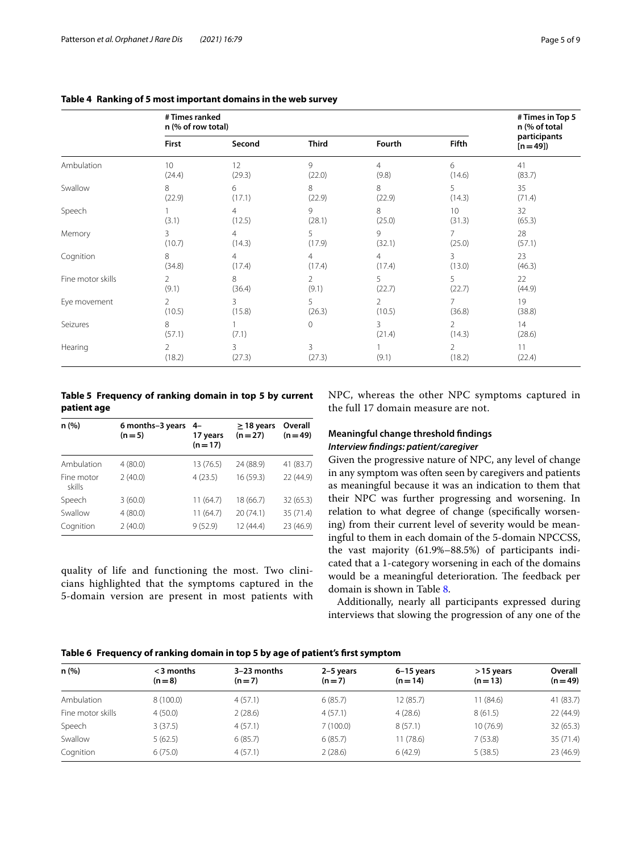|                   | #Times ranked<br>n (% of row total) |                          | # Times in Top 5<br>n (% of total |                |                           |                          |
|-------------------|-------------------------------------|--------------------------|-----------------------------------|----------------|---------------------------|--------------------------|
|                   | <b>First</b>                        | Second                   | <b>Third</b>                      | Fourth         | Fifth                     | participants<br>$[n=49]$ |
| Ambulation        | 10                                  | 12                       | 9                                 | 4              | 6                         | 41                       |
|                   | (24.4)                              | (29.3)                   | (22.0)                            | (9.8)          | (14.6)                    | (83.7)                   |
| Swallow           | 8                                   | 6                        | 8                                 | 8              | 5                         | 35                       |
|                   | (22.9)                              | (17.1)                   | (22.9)                            | (22.9)         | (14.3)                    | (71.4)                   |
| Speech            | (3.1)                               | $\overline{4}$<br>(12.5) | 9<br>(28.1)                       | 8<br>(25.0)    | 10 <sup>°</sup><br>(31.3) | 32<br>(65.3)             |
| Memory            | 3                                   | $\overline{4}$           | 5                                 | 9              | 7                         | 28                       |
|                   | (10.7)                              | (14.3)                   | (17.9)                            | (32.1)         | (25.0)                    | (57.1)                   |
| Cognition         | 8                                   | $\overline{4}$           | $\overline{4}$                    | $\overline{4}$ | 3                         | 23                       |
|                   | (34.8)                              | (17.4)                   | (17.4)                            | (17.4)         | (13.0)                    | (46.3)                   |
| Fine motor skills | 2                                   | 8                        | 2                                 | 5              | 5                         | 22                       |
|                   | (9.1)                               | (36.4)                   | (9.1)                             | (22.7)         | (22.7)                    | (44.9)                   |
| Eye movement      | $\overline{2}$                      | 3                        | 5                                 | $\overline{2}$ | 7                         | 19                       |
|                   | (10.5)                              | (15.8)                   | (26.3)                            | (10.5)         | (36.8)                    | (38.8)                   |
| Seizures          | 8<br>(57.1)                         | (7.1)                    | $\circ$                           | 3<br>(21.4)    | $\overline{2}$<br>(14.3)  | 14<br>(28.6)             |
| Hearing           | 2<br>(18.2)                         | 3<br>(27.3)              | 3<br>(27.3)                       | (9.1)          | $\overline{2}$<br>(18.2)  | 11<br>(22.4)             |

#### <span id="page-4-0"></span>**Table 4 Ranking of 5 most important domains in the web survey**

<span id="page-4-1"></span>**Table 5 Frequency of ranking domain in top 5 by current patient age**

| n(%)                 | 6 months-3 years<br>$(n=5)$ | 4-<br>17 years<br>$(n=17)$ | $\geq$ 18 years<br>$(n=27)$ | Overall<br>$(n = 49)$ |
|----------------------|-----------------------------|----------------------------|-----------------------------|-----------------------|
| Ambulation           | 4(80.0)                     | 13 (76.5)                  | 24 (88.9)                   | 41 (83.7)             |
| Fine motor<br>skills | 2(40.0)                     | 4(23.5)                    | 16 (59.3)                   | 22 (44.9)             |
| Speech               | 3(60.0)                     | 11 (64.7)                  | 18 (66.7)                   | 32 (65.3)             |
| Swallow              | 4(80.0)                     | 11 (64.7)                  | 20 (74.1)                   | 35 (71.4)             |
| Cognition            | 2(40.0)                     | 9(52.9)                    | 12 (44.4)                   | 23 (46.9)             |

quality of life and functioning the most. Two clinicians highlighted that the symptoms captured in the 5-domain version are present in most patients with NPC, whereas the other NPC symptoms captured in the full 17 domain measure are not.

# **Meaningful change threshold fndings** *Interview fndings: patient/caregiver*

Given the progressive nature of NPC, any level of change in any symptom was often seen by caregivers and patients as meaningful because it was an indication to them that their NPC was further progressing and worsening. In relation to what degree of change (specifcally worsening) from their current level of severity would be meaningful to them in each domain of the 5-domain NPCCSS, the vast majority (61.9%–88.5%) of participants indicated that a 1-category worsening in each of the domains would be a meaningful deterioration. The feedback per domain is shown in Table [8.](#page-5-1)

Additionally, nearly all participants expressed during interviews that slowing the progression of any one of the

## <span id="page-4-2"></span>**Table 6 Frequency of ranking domain in top 5 by age of patient's frst symptom**

| n(%)              | $<$ 3 months<br>$(n=8)$ | $3-23$ months<br>$(n=7)$ | 2-5 years<br>$(n=7)$ | 6-15 years<br>$(n=14)$ | >15 years<br>$(n=13)$ | Overall<br>$(n = 49)$ |
|-------------------|-------------------------|--------------------------|----------------------|------------------------|-----------------------|-----------------------|
| Ambulation        | 8(100.0)                | 4(57.1)                  | 6(85.7)              | 12 (85.7)              | 11 (84.6)             | 41 (83.7)             |
| Fine motor skills | 4(50.0)                 | 2(28.6)                  | 4(57.1)              | 4(28.6)                | 8(61.5)               | 22 (44.9)             |
| Speech            | 3(37.5)                 | 4(57.1)                  | 7(100.0)             | 8(57.1)                | 10(76.9)              | 32 (65.3)             |
| Swallow           | 5(62.5)                 | 6(85.7)                  | 6(85.7)              | 11(78.6)               | 7(53.8)               | 35 (71.4)             |
| Cognition         | 6(75.0)                 | 4(57.1)                  | 2(28.6)              | 6(42.9)                | 5(38.5)               | 23 (46.9)             |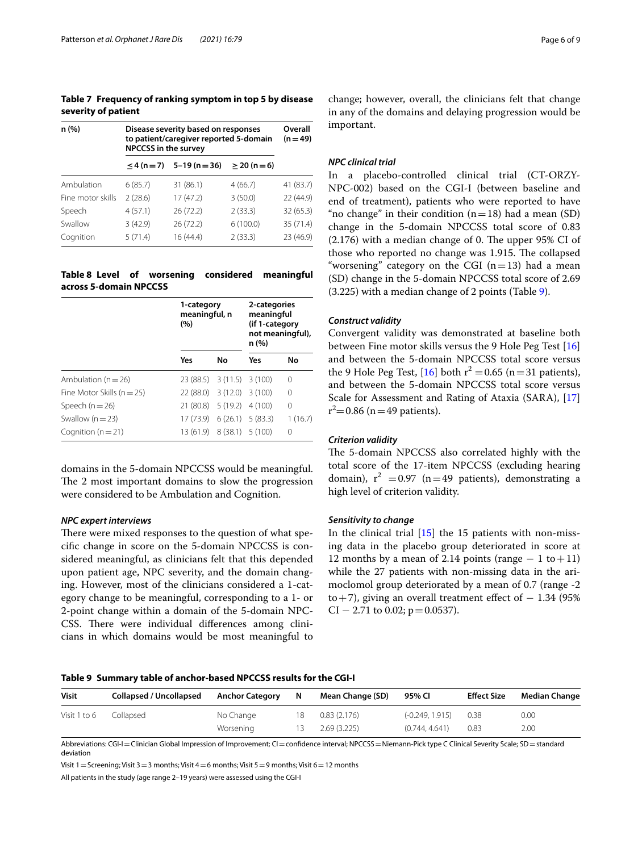<span id="page-5-0"></span>**Table 7 Frequency of ranking symptom in top 5 by disease severity of patient**

| n (%)             | Disease severity based on responses<br>to patient/caregiver reported 5-domain<br><b>NPCCSS</b> in the survey | Overall<br>$(n = 49)$          |                   |           |
|-------------------|--------------------------------------------------------------------------------------------------------------|--------------------------------|-------------------|-----------|
|                   |                                                                                                              | $\leq$ 4 (n = 7) 5-19 (n = 36) | $\geq$ 20 (n = 6) |           |
| Ambulation        | 6(85.7)                                                                                                      | 31 (86.1)                      | 4(66.7)           | 41 (83.7) |
| Fine motor skills | 2(28.6)                                                                                                      | 17(47.2)                       | 3(50.0)           | 22 (44.9) |
| Speech            | 4(57.1)                                                                                                      | 26(72.2)                       | 2(33.3)           | 32 (65.3) |
| Swallow           | 3(42.9)                                                                                                      | 26(72.2)                       | 6(100.0)          | 35 (71.4) |
| Cognition         | 5(71.4)                                                                                                      | 16(44.4)                       | 2(33.3)           | 23 (46.9) |

## <span id="page-5-1"></span>**Table 8 Level of worsening considered meaningful across 5-domain NPCCSS**

|                                | 1-category<br>meaningful, n<br>(%) |                    | 2-categories<br>meaningful<br>(if 1-category<br>not meaningful),<br>n (%) |         |  |
|--------------------------------|------------------------------------|--------------------|---------------------------------------------------------------------------|---------|--|
|                                | Yes                                | No                 | Yes                                                                       | No      |  |
| Ambulation ( $n = 26$ )        | 23 (88.5) 3 (11.5) 3 (100)         |                    |                                                                           | 0       |  |
| Fine Motor Skills ( $n = 25$ ) | 22 (88.0)                          | $3(12.0)$ $3(100)$ |                                                                           | 0       |  |
| Speech $(n=26)$                | 21 (80.8)                          | 5(19.2)            | 4(100)                                                                    | 0       |  |
| Swallow ( $n = 23$ )           | 17 (73.9)                          |                    | 6(26.1) 5(83.3)                                                           | 1(16.7) |  |
| Cognition ( $n = 21$ )         | 13 (61.9)                          | $8(38.1)$ 5 (100)  |                                                                           | 0       |  |

domains in the 5-domain NPCCSS would be meaningful. The 2 most important domains to slow the progression were considered to be Ambulation and Cognition.

#### *NPC expert interviews*

There were mixed responses to the question of what specifc change in score on the 5-domain NPCCSS is considered meaningful, as clinicians felt that this depended upon patient age, NPC severity, and the domain changing. However, most of the clinicians considered a 1-category change to be meaningful, corresponding to a 1- or 2-point change within a domain of the 5-domain NPC-CSS. There were individual differences among clinicians in which domains would be most meaningful to

change; however, overall, the clinicians felt that change in any of the domains and delaying progression would be important.

#### *NPC clinical trial*

In a placebo-controlled clinical trial (CT-ORZY-NPC-002) based on the CGI-I (between baseline and end of treatment), patients who were reported to have "no change" in their condition  $(n=18)$  had a mean (SD) change in the 5-domain NPCCSS total score of 0.83  $(2.176)$  with a median change of 0. The upper 95% CI of those who reported no change was 1.915. The collapsed "worsening" category on the CGI  $(n=13)$  had a mean (SD) change in the 5-domain NPCCSS total score of 2.69 (3.225) with a median change of 2 points (Table [9](#page-5-2)).

#### *Construct validity*

Convergent validity was demonstrated at baseline both between Fine motor skills versus the 9 Hole Peg Test [[16](#page-8-15)] and between the 5-domain NPCCSS total score versus the 9 Hole Peg Test, [\[16](#page-8-15)] both  $r^2 = 0.65$  (n = 31 patients), and between the 5-domain NPCCSS total score versus Scale for Assessment and Rating of Ataxia (SARA), [[17](#page-8-16)]  $r^2$ =0.86 (n = 49 patients).

## *Criterion validity*

The 5-domain NPCCSS also correlated highly with the total score of the 17-item NPCCSS (excluding hearing domain),  $r^2$  =0.97 (n=49 patients), demonstrating a high level of criterion validity.

#### *Sensitivity to change*

In the clinical trial  $[15]$  $[15]$  the 15 patients with non-missing data in the placebo group deteriorated in score at 12 months by a mean of 2.14 points (range  $-1$  to  $+11$ ) while the 27 patients with non-missing data in the arimoclomol group deteriorated by a mean of 0.7 (range -2 to+7), giving an overall treatment effect of  $-1.34$  (95%)  $CI - 2.71$  to 0.02;  $p = 0.0537$ ).

#### <span id="page-5-2"></span>**Table 9 Summary table of anchor-based NPCCSS results for the CGI-I**

| <b>Visit</b> | Collapsed / Uncollapsed | <b>Anchor Category</b> | - N | Mean Change (SD) | 95% CI          | <b>Effect Size</b> | <b>Median Change</b> |
|--------------|-------------------------|------------------------|-----|------------------|-----------------|--------------------|----------------------|
| Visit 1 to 6 | Collapsed               | No Change              | 18  | 0.83(2.176)      | (-0.249, 1.915) | 0.38               | 0.00                 |
|              |                         | Worsening              | 13  | 2.69(3.225)      | (0.744, 4.641)  | 0.83               | 2.00                 |

Abbreviations: CGI-I=Clinician Global Impression of Improvement; CI=confidence interval; NPCCSS=Niemann-Pick type C Clinical Severity Scale; SD=standard deviation

Visit 1 = Screening; Visit 3 = 3 months; Visit 4 = 6 months; Visit 5 = 9 months; Visit 6 = 12 months

All patients in the study (age range 2–19 years) were assessed using the CGI-I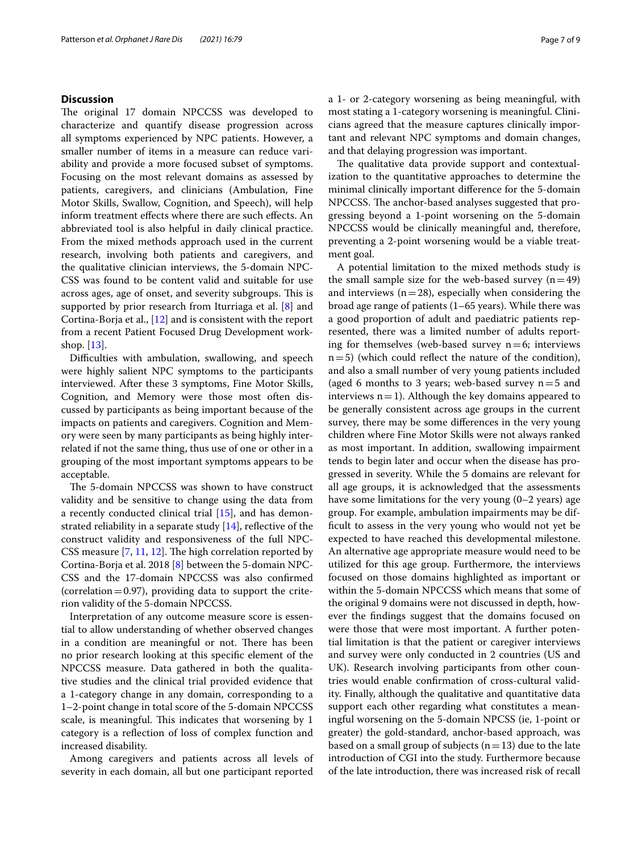## **Discussion**

The original 17 domain NPCCSS was developed to characterize and quantify disease progression across all symptoms experienced by NPC patients. However, a smaller number of items in a measure can reduce variability and provide a more focused subset of symptoms. Focusing on the most relevant domains as assessed by patients, caregivers, and clinicians (Ambulation, Fine Motor Skills, Swallow, Cognition, and Speech), will help inform treatment efects where there are such efects. An abbreviated tool is also helpful in daily clinical practice. From the mixed methods approach used in the current research, involving both patients and caregivers, and the qualitative clinician interviews, the 5-domain NPC-CSS was found to be content valid and suitable for use across ages, age of onset, and severity subgroups. This is supported by prior research from Iturriaga et al. [\[8](#page-8-7)] and Cortina-Borja et al., [\[12](#page-8-11)] and is consistent with the report from a recent Patient Focused Drug Development workshop. [[13\]](#page-8-12).

Difficulties with ambulation, swallowing, and speech were highly salient NPC symptoms to the participants interviewed. After these 3 symptoms, Fine Motor Skills, Cognition, and Memory were those most often discussed by participants as being important because of the impacts on patients and caregivers. Cognition and Memory were seen by many participants as being highly interrelated if not the same thing, thus use of one or other in a grouping of the most important symptoms appears to be acceptable.

The 5-domain NPCCSS was shown to have construct validity and be sensitive to change using the data from a recently conducted clinical trial [[15](#page-8-14)], and has demonstrated reliability in a separate study  $[14]$  $[14]$ , reflective of the construct validity and responsiveness of the full NPC-CSS measure  $[7, 11, 12]$  $[7, 11, 12]$  $[7, 11, 12]$  $[7, 11, 12]$  $[7, 11, 12]$ . The high correlation reported by Cortina-Borja et al. 2018 [[8\]](#page-8-7) between the 5-domain NPC-CSS and the 17-domain NPCCSS was also confrmed (correlation  $=$  0.97), providing data to support the criterion validity of the 5-domain NPCCSS.

Interpretation of any outcome measure score is essential to allow understanding of whether observed changes in a condition are meaningful or not. There has been no prior research looking at this specifc element of the NPCCSS measure. Data gathered in both the qualitative studies and the clinical trial provided evidence that a 1-category change in any domain, corresponding to a 1–2-point change in total score of the 5-domain NPCCSS scale, is meaningful. This indicates that worsening by 1 category is a refection of loss of complex function and increased disability.

Among caregivers and patients across all levels of severity in each domain, all but one participant reported a 1- or 2-category worsening as being meaningful, with most stating a 1-category worsening is meaningful. Clinicians agreed that the measure captures clinically important and relevant NPC symptoms and domain changes, and that delaying progression was important.

The qualitative data provide support and contextualization to the quantitative approaches to determine the minimal clinically important diference for the 5-domain NPCCSS. The anchor-based analyses suggested that progressing beyond a 1-point worsening on the 5-domain NPCCSS would be clinically meaningful and, therefore, preventing a 2-point worsening would be a viable treatment goal.

A potential limitation to the mixed methods study is the small sample size for the web-based survey  $(n=49)$ and interviews  $(n=28)$ , especially when considering the broad age range of patients (1–65 years). While there was a good proportion of adult and paediatric patients represented, there was a limited number of adults reporting for themselves (web-based survey  $n=6$ ; interviews  $n=5$ ) (which could reflect the nature of the condition), and also a small number of very young patients included (aged 6 months to 3 years; web-based survey  $n=5$  and interviews  $n=1$ ). Although the key domains appeared to be generally consistent across age groups in the current survey, there may be some diferences in the very young children where Fine Motor Skills were not always ranked as most important. In addition, swallowing impairment tends to begin later and occur when the disease has progressed in severity. While the 5 domains are relevant for all age groups, it is acknowledged that the assessments have some limitations for the very young (0–2 years) age group. For example, ambulation impairments may be diffcult to assess in the very young who would not yet be expected to have reached this developmental milestone. An alternative age appropriate measure would need to be utilized for this age group. Furthermore, the interviews focused on those domains highlighted as important or within the 5-domain NPCCSS which means that some of the original 9 domains were not discussed in depth, however the fndings suggest that the domains focused on were those that were most important. A further potential limitation is that the patient or caregiver interviews and survey were only conducted in 2 countries (US and UK). Research involving participants from other countries would enable confrmation of cross-cultural validity. Finally, although the qualitative and quantitative data support each other regarding what constitutes a meaningful worsening on the 5-domain NPCSS (ie, 1-point or greater) the gold-standard, anchor-based approach, was based on a small group of subjects ( $n=13$ ) due to the late introduction of CGI into the study. Furthermore because of the late introduction, there was increased risk of recall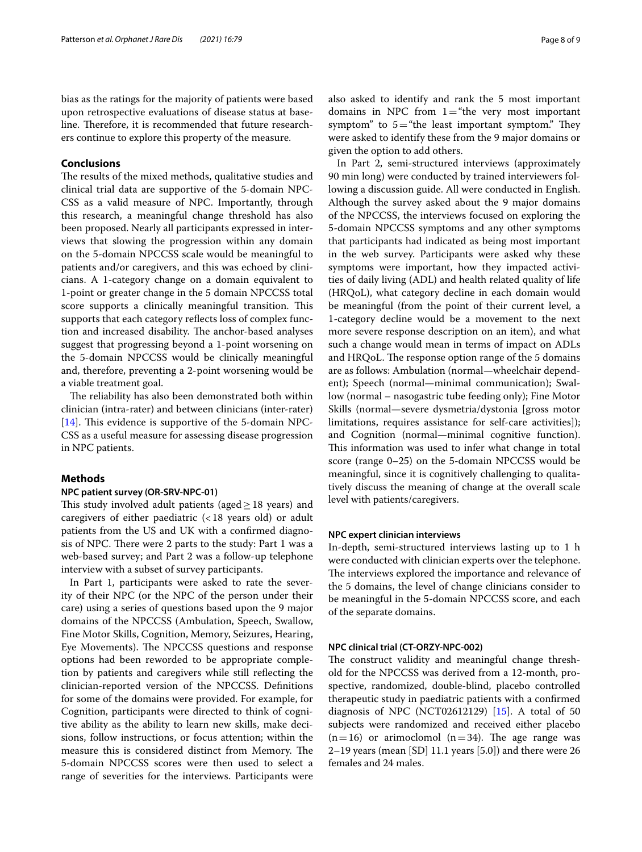bias as the ratings for the majority of patients were based upon retrospective evaluations of disease status at baseline. Therefore, it is recommended that future researchers continue to explore this property of the measure.

## **Conclusions**

The results of the mixed methods, qualitative studies and clinical trial data are supportive of the 5-domain NPC-CSS as a valid measure of NPC. Importantly, through this research, a meaningful change threshold has also been proposed. Nearly all participants expressed in interviews that slowing the progression within any domain on the 5-domain NPCCSS scale would be meaningful to patients and/or caregivers, and this was echoed by clinicians. A 1-category change on a domain equivalent to 1-point or greater change in the 5 domain NPCCSS total score supports a clinically meaningful transition. This supports that each category refects loss of complex function and increased disability. The anchor-based analyses suggest that progressing beyond a 1-point worsening on the 5-domain NPCCSS would be clinically meaningful and, therefore, preventing a 2-point worsening would be a viable treatment goal.

The reliability has also been demonstrated both within clinician (intra-rater) and between clinicians (inter-rater) [[14\]](#page-8-13). This evidence is supportive of the 5-domain NPC-CSS as a useful measure for assessing disease progression in NPC patients.

#### **Methods**

#### **NPC patient survey (OR-SRV-NPC-01)**

This study involved adult patients (aged  $\geq$  18 years) and caregivers of either paediatric  $(<18$  years old) or adult patients from the US and UK with a confrmed diagnosis of NPC. There were 2 parts to the study: Part 1 was a web-based survey; and Part 2 was a follow-up telephone interview with a subset of survey participants.

In Part 1, participants were asked to rate the severity of their NPC (or the NPC of the person under their care) using a series of questions based upon the 9 major domains of the NPCCSS (Ambulation, Speech, Swallow, Fine Motor Skills, Cognition, Memory, Seizures, Hearing, Eye Movements). The NPCCSS questions and response options had been reworded to be appropriate completion by patients and caregivers while still refecting the clinician-reported version of the NPCCSS. Defnitions for some of the domains were provided. For example, for Cognition, participants were directed to think of cognitive ability as the ability to learn new skills, make decisions, follow instructions, or focus attention; within the measure this is considered distinct from Memory. The 5-domain NPCCSS scores were then used to select a range of severities for the interviews. Participants were also asked to identify and rank the 5 most important domains in NPC from  $1=$  "the very most important symptom" to  $5=$  "the least important symptom." They were asked to identify these from the 9 major domains or given the option to add others.

In Part 2, semi-structured interviews (approximately 90 min long) were conducted by trained interviewers following a discussion guide. All were conducted in English. Although the survey asked about the 9 major domains of the NPCCSS, the interviews focused on exploring the 5-domain NPCCSS symptoms and any other symptoms that participants had indicated as being most important in the web survey. Participants were asked why these symptoms were important, how they impacted activities of daily living (ADL) and health related quality of life (HRQoL), what category decline in each domain would be meaningful (from the point of their current level, a 1-category decline would be a movement to the next more severe response description on an item), and what such a change would mean in terms of impact on ADLs and HRQoL. The response option range of the 5 domains are as follows: Ambulation (normal—wheelchair dependent); Speech (normal—minimal communication); Swallow (normal – nasogastric tube feeding only); Fine Motor Skills (normal—severe dysmetria/dystonia [gross motor limitations, requires assistance for self-care activities]); and Cognition (normal—minimal cognitive function). This information was used to infer what change in total score (range 0–25) on the 5-domain NPCCSS would be meaningful, since it is cognitively challenging to qualitatively discuss the meaning of change at the overall scale level with patients/caregivers.

#### **NPC expert clinician interviews**

In-depth, semi-structured interviews lasting up to 1 h were conducted with clinician experts over the telephone. The interviews explored the importance and relevance of the 5 domains, the level of change clinicians consider to be meaningful in the 5-domain NPCCSS score, and each of the separate domains.

#### **NPC clinical trial (CT-ORZY-NPC-002)**

The construct validity and meaningful change threshold for the NPCCSS was derived from a 12-month, prospective, randomized, double-blind, placebo controlled therapeutic study in paediatric patients with a confrmed diagnosis of NPC (NCT02612129) [\[15](#page-8-14)]. A total of 50 subjects were randomized and received either placebo  $(n=16)$  or arimoclomol  $(n=34)$ . The age range was 2–19 years (mean [SD] 11.1 years [5.0]) and there were 26 females and 24 males.